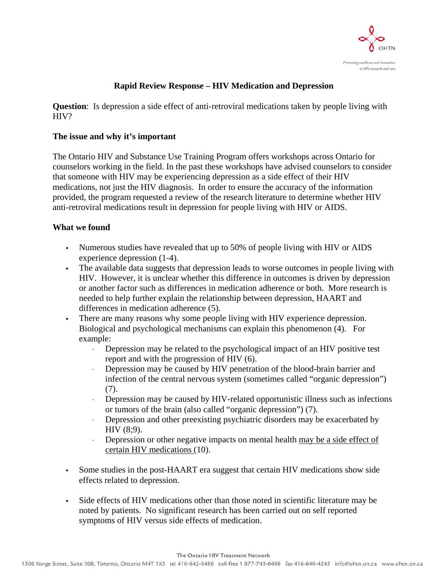

# **Rapid Review Response – HIV Medication and Depression**

**Question**: Is depression a side effect of anti-retroviral medications taken by people living with HIV?

#### **The issue and why it's important**

The Ontario HIV and Substance Use Training Program offers workshops across Ontario for counselors working in the field. In the past these workshops have advised counselors to consider that someone with HIV may be experiencing depression as a side effect of their HIV medications, not just the HIV diagnosis. In order to ensure the accuracy of the information provided, the program requested a review of the research literature to determine whether HIV anti-retroviral medications result in depression for people living with HIV or AIDS.

# **What we found**

- Numerous studies have revealed that up to 50% of people living with HIV or AIDS experience depression (1-4).
- The available data suggests that depression leads to worse outcomes in people living with HIV. However, it is unclear whether this difference in outcomes is driven by depression or another factor such as differences in medication adherence or both. More research is needed to help further explain the relationship between depression, HAART and differences in medication adherence (5).
- There are many reasons why some people living with HIV experience depression. Biological and psychological mechanisms can explain this phenomenon (4). For example:
	- $\cdot$  Depression may be related to the psychological impact of an HIV positive test report and with the progression of HIV (6).
	- Depression may be caused by HIV penetration of the blood-brain barrier and infection of the central nervous system (sometimes called "organic depression") (7).
	- <sup>x</sup> Depression may be caused by HIV-related opportunistic illness such as infections or tumors of the brain (also called "organic depression") (7).
	- <sup>x</sup> Depression and other preexisting psychiatric disorders may be exacerbated by HIV (8;9).
	- $\cdot$  Depression or other negative impacts on mental health may be a side effect of certain HIV medications (10).
- Some studies in the post-HAART era suggest that certain HIV medications show side effects related to depression.
- Side effects of HIV medications other than those noted in scientific literature may be noted by patients. No significant research has been carried out on self reported symptoms of HIV versus side effects of medication.

The Ontario HIV Treatment Network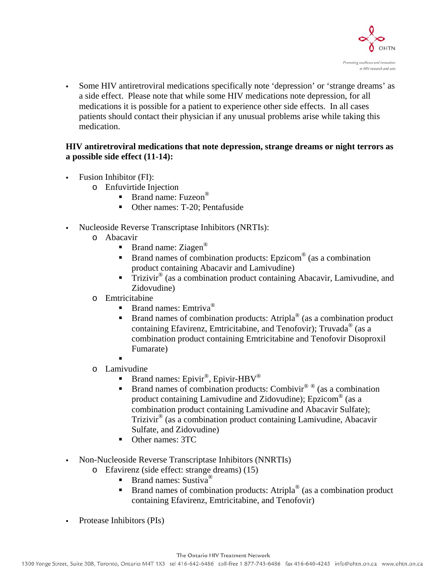

 Some HIV antiretroviral medications specifically note 'depression' or 'strange dreams' as a side effect. Please note that while some HIV medications note depression, for all medications it is possible for a patient to experience other side effects. In all cases patients should contact their physician if any unusual problems arise while taking this medication.

# **HIV antiretroviral medications that note depression, strange dreams or night terrors as a possible side effect (11-14):**

- Fusion Inhibitor (FI):
	- o Enfuvirtide Injection
		- **Brand name:** Fuzeon<sup>®</sup>
		- Other names: T-20; Pentafuside
- Nucleoside Reverse Transcriptase Inhibitors (NRTIs):
	- o Abacavir
		- **Brand name:** Ziagen<sup>®</sup>
		- Brand names of combination products: Epzicom® (as a combination product containing Abacavir and Lamivudine)
		- Trizivir® (as a combination product containing Abacavir, Lamivudine, and Zidovudine)
	- o Emtricitabine
		- Brand names: Emtriva®
		- Brand names of combination products: Atripla® (as a combination product containing Efavirenz, Emtricitabine, and Tenofovir); Truvada® (as a combination product containing Emtricitabine and Tenofovir Disoproxil Fumarate)
		- .
	- o Lamivudine
		- **Brand names: Epivir<sup>®</sup>, Epivir-HBV<sup>®</sup>**
		- Brand names of combination products: Combivir<sup>® ®</sup> (as a combination product containing Lamivudine and Zidovudine); Epzicom® (as a combination product containing Lamivudine and Abacavir Sulfate); Trizivir® (as a combination product containing Lamivudine, Abacavir Sulfate, and Zidovudine)
		- Other names: 3TC
- Non-Nucleoside Reverse Transcriptase Inhibitors (NNRTIs)
	- o Efavirenz (side effect: strange dreams) (15)
		- **Brand names:** Sustiva<sup>®</sup>
			- **Brand names of combination products:** Atripla<sup>®</sup> (as a combination product containing Efavirenz, Emtricitabine, and Tenofovir)
- Protease Inhibitors (PIs)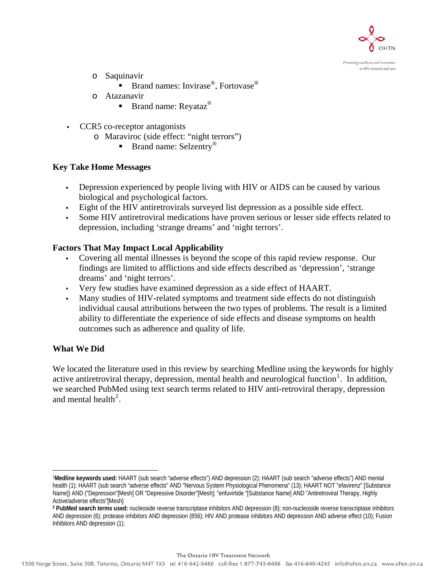

Promoting excellence and innovation in HIV research and care

- o Saquinavir
	- **Brand names:** Invirase<sup>®</sup>, Fortovase<sup>®</sup>
- o Atazanavir
	- Brand name: Reyataz<sup>®</sup>
- CCR5 co-receptor antagonists
	- o Maraviroc (side effect: "night terrors")
		- Brand name: Selzentry<sup>®</sup>

# **Key Take Home Messages**

- Depression experienced by people living with HIV or AIDS can be caused by various biological and psychological factors.
- Eight of the HIV antiretrovirals surveyed list depression as a possible side effect.
- Some HIV antiretroviral medications have proven serious or lesser side effects related to depression, including 'strange dreams' and 'night terrors'.

# **Factors That May Impact Local Applicability**

- Covering all mental illnesses is beyond the scope of this rapid review response. Our findings are limited to afflictions and side effects described as 'depression', 'strange dreams' and 'night terrors'.
- Very few studies have examined depression as a side effect of HAART.
- Many studies of HIV-related symptoms and treatment side effects do not distinguish individual causal attributions between the two types of problems. The result is a limited ability to differentiate the experience of side effects and disease symptoms on health outcomes such as adherence and quality of life.

#### **What We Did**

<u>.</u>

We located the literature used in this review by searching Medline using the keywords for highly active antiretroviral therapy, depression, mental health and neurological function<sup>[1](#page-2-0)</sup>. In addition, we searched PubMed using text search terms related to HIV anti-retroviral therapy, depression and mental health<sup>[2](#page-2-1)</sup>.

The Ontario HIV Treatment Network

<span id="page-2-0"></span><sup>1</sup>**Medline keywords used:** HAART (sub search "adverse effects") AND depression (2); HAART (sub search "adverse effects") AND mental health (1); HAART (sub search "adverse effects" AND "Nervous System Physiological Phenomena" (13); HAART NOT "efavirenz" [Substance Name]) AND ("Depression"[Mesh] OR "Depressive Disorder"[Mesh]; "enfuvirtide "[Substance Name] AND "Antiretroviral Therapy, Highly Active/adverse effects"[Mesh]

<span id="page-2-1"></span>**<sup>2</sup> PubMed search terms used:** nucleoside reverse transcriptase inhibitors AND depression (8); non-nucleoside reverse transcriptase inhibitors AND depression (6); protease inhibitors AND depression (856); HIV AND protease inhibitors AND depression AND adverse effect (10); Fusion Inhibitors AND depression (1);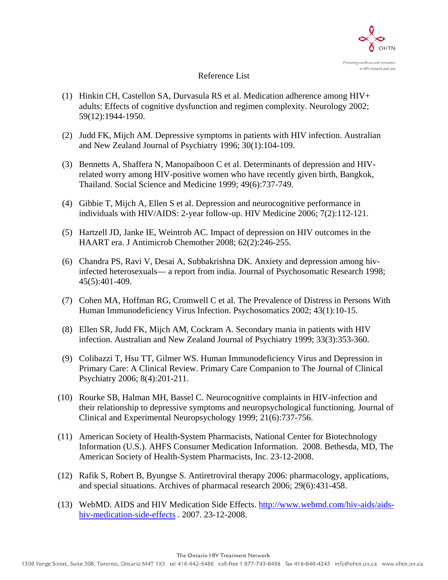

#### Reference List

- (1) Hinkin CH, Castellon SA, Durvasula RS et al. Medication adherence among HIV+ adults: Effects of cognitive dysfunction and regimen complexity. Neurology 2002; 59(12):1944-1950.
- (2) Judd FK, Mijch AM. Depressive symptoms in patients with HIV infection. Australian and New Zealand Journal of Psychiatry 1996; 30(1):104-109.
- (3) Bennetts A, Shaffera N, Manopaiboon C et al. Determinants of depression and HIVrelated worry among HIV-positive women who have recently given birth, Bangkok, Thailand. Social Science and Medicine 1999; 49(6):737-749.
- (4) Gibbie T, Mijch A, Ellen S et al. Depression and neurocognitive performance in individuals with HIV/AIDS: 2-year follow-up. HIV Medicine 2006; 7(2):112-121.
- (5) Hartzell JD, Janke IE, Weintrob AC. Impact of depression on HIV outcomes in the HAART era. J Antimicrob Chemother 2008; 62(2):246-255.
- (6) Chandra PS, Ravi V, Desai A, Subbakrishna DK. Anxiety and depression among hivinfected heterosexuals— a report from india. Journal of Psychosomatic Research 1998; 45(5):401-409.
- (7) Cohen MA, Hoffman RG, Cromwell C et al. The Prevalence of Distress in Persons With Human Immunodeficiency Virus Infection. Psychosomatics 2002; 43(1):10-15.
- (8) Ellen SR, Judd FK, Mijch AM, Cockram A. Secondary mania in patients with HIV infection. Australian and New Zealand Journal of Psychiatry 1999; 33(3):353-360.
- (9) Colibazzi T, Hsu TT, Gilmer WS. Human Immunodeficiency Virus and Depression in Primary Care: A Clinical Review. Primary Care Companion to The Journal of Clinical Psychiatry 2006; 8(4):201-211.
- (10) Rourke SB, Halman MH, Bassel C. Neurocognitive complaints in HIV-infection and their relationship to depressive symptoms and neuropsychological functioning. Journal of Clinical and Experimental Neuropsychology 1999; 21(6):737-756.
- (11) American Society of Health-System Pharmacists, National Center for Biotechnology Information (U.S.). AHFS Consumer Medication Information. 2008. Bethesda, MD, The American Society of Health-System Pharmacists, Inc. 23-12-2008.
- (12) Rafik S, Robert B, Byungse S. Antiretroviral therapy 2006: pharmacology, applications, and special situations. Archives of pharmacal research 2006; 29(6):431-458.
- (13) WebMD. AIDS and HIV Medication Side Effects. [http://www.webmd.com/hiv-aids/aids](http://www.webmd.com/hiv-aids/aids-hiv-medication-side-effects)[hiv-medication-side-effects](http://www.webmd.com/hiv-aids/aids-hiv-medication-side-effects) . 2007. 23-12-2008.

The Ontario HIV Treatment Network